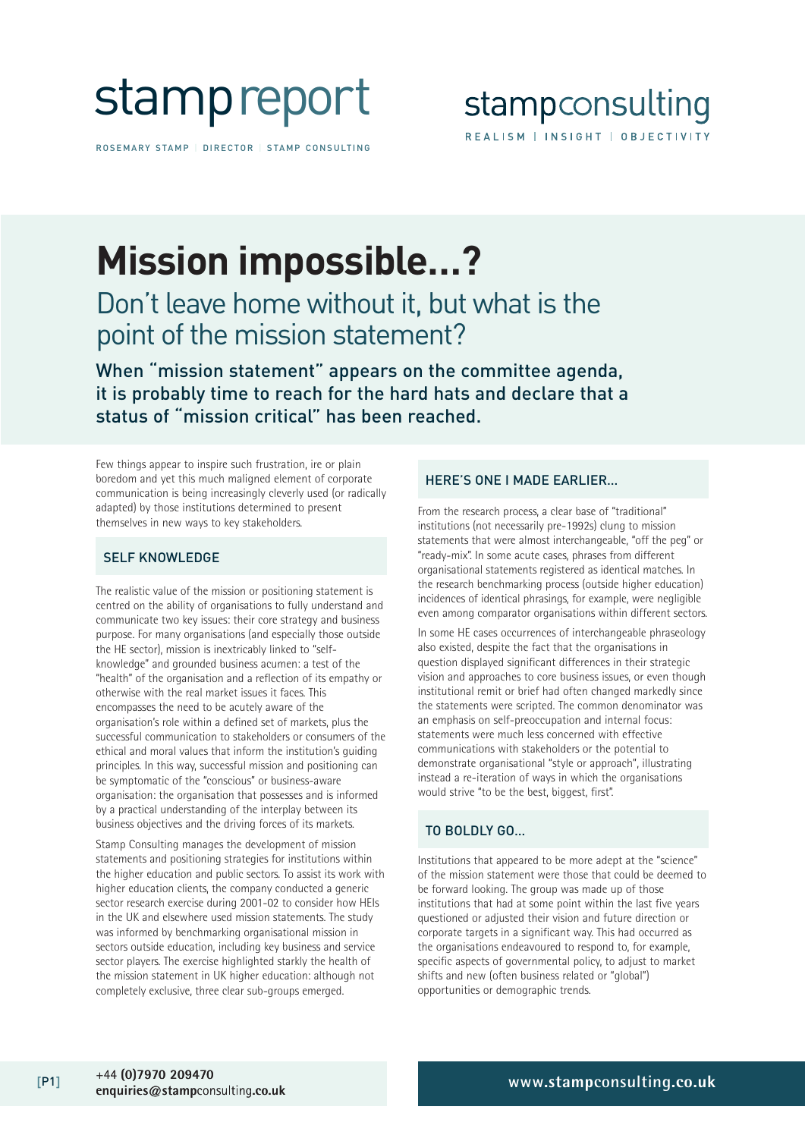

ROSEMARY STAMP | DIRECTOR | STAMP CONSULTING

## **Mission impossible…?**

## Don't leave home without it, but what is the point of the mission statement?

When "mission statement" appears on the committee agenda, it is probably time to reach for the hard hats and declare that a status of "mission critical" has been reached.

Few things appear to inspire such frustration, ire or plain boredom and yet this much maligned element of corporate communication is being increasingly cleverly used (or radically adapted) by those institutions determined to present themselves in new ways to key stakeholders.

#### SELF KNOWLEDGE

The realistic value of the mission or positioning statement is centred on the ability of organisations to fully understand and communicate two key issues: their core strategy and business purpose. For many organisations (and especially those outside the HE sector), mission is inextricably linked to "selfknowledge" and grounded business acumen: a test of the "health" of the organisation and a reflection of its empathy or otherwise with the real market issues it faces. This encompasses the need to be acutely aware of the organisation's role within a defined set of markets, plus the successful communication to stakeholders or consumers of the ethical and moral values that inform the institution's guiding principles. In this way, successful mission and positioning can be symptomatic of the "conscious" or business-aware organisation: the organisation that possesses and is informed by a practical understanding of the interplay between its business objectives and the driving forces of its markets.

Stamp Consulting manages the development of mission statements and positioning strategies for institutions within the higher education and public sectors. To assist its work with higher education clients, the company conducted a generic sector research exercise during 2001-02 to consider how HEIs in the UK and elsewhere used mission statements. The study was informed by benchmarking organisational mission in sectors outside education, including key business and service sector players. The exercise highlighted starkly the health of the mission statement in UK higher education: although not completely exclusive, three clear sub-groups emerged.

#### HERE'S ONE I MADE EARLIER…

From the research process, a clear base of "traditional" institutions (not necessarily pre-1992s) clung to mission statements that were almost interchangeable, "off the peg" or "ready-mix". In some acute cases, phrases from different organisational statements registered as identical matches. In the research benchmarking process (outside higher education) incidences of identical phrasings, for example, were negligible even among comparator organisations within different sectors.

In some HE cases occurrences of interchangeable phraseology also existed, despite the fact that the organisations in question displayed significant differences in their strategic vision and approaches to core business issues, or even though institutional remit or brief had often changed markedly since the statements were scripted. The common denominator was an emphasis on self-preoccupation and internal focus: statements were much less concerned with effective communications with stakeholders or the potential to demonstrate organisational "style or approach", illustrating instead a re-iteration of ways in which the organisations would strive "to be the best, biggest, first".

#### TO BOLDLY GO…

Institutions that appeared to be more adept at the "science" of the mission statement were those that could be deemed to be forward looking. The group was made up of those institutions that had at some point within the last five years questioned or adjusted their vision and future direction or corporate targets in a significant way. This had occurred as the organisations endeavoured to respond to, for example, specific aspects of governmental policy, to adjust to market shifts and new (often business related or "global") opportunities or demographic trends.